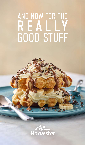# AND NOW FOR THE AND NUW FUR THE GOOD STUFF